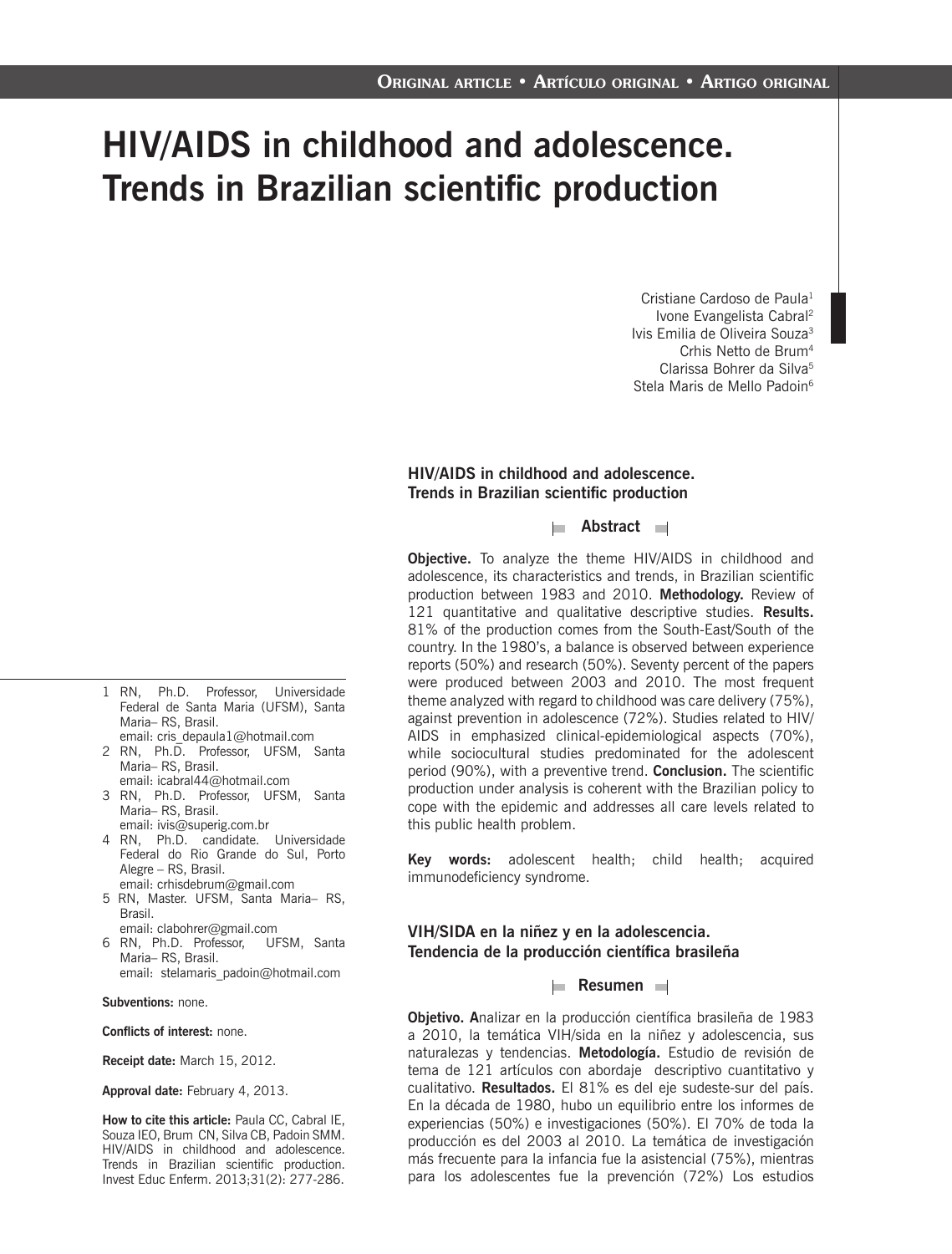# **HIV/AIDS in childhood and adolescence. Trends in Brazilian scientific production**

Cristiane Cardoso de Paula<sup>1</sup> Ivone Evangelista Cabral2 Ivis Emilia de Oliveira Souza3 Crhis Netto de Brum4 Clarissa Bohrer da Silva5 Stela Maris de Mello Padoin<sup>6</sup>

#### **HIV/AIDS in childhood and adolescence. Trends in Brazilian scientific production**

**Abstract** 

**Objective.** To analyze the theme HIV/AIDS in childhood and adolescence, its characteristics and trends, in Brazilian scientific production between 1983 and 2010. **Methodology.** Review of 121 quantitative and qualitative descriptive studies. **Results.** 81% of the production comes from the South-East/South of the country. In the 1980's, a balance is observed between experience reports (50%) and research (50%). Seventy percent of the papers were produced between 2003 and 2010. The most frequent theme analyzed with regard to childhood was care delivery (75%), against prevention in adolescence (72%). Studies related to HIV/ AIDS in emphasized clinical-epidemiological aspects (70%), while sociocultural studies predominated for the adolescent period (90%), with a preventive trend. **Conclusion.** The scientific production under analysis is coherent with the Brazilian policy to cope with the epidemic and addresses all care levels related to this public health problem.

**Key words:** adolescent health; child health; acquired immunodeficiency syndrome.

### **VIH/SIDA en la niñez y en la adolescencia. Tendencia de la producción científica brasileña**

#### **Resumen**

para los adolescentes fue la prevención (72%) Los estudios **Objetivo. A**nalizar en la producción científica brasileña de 1983 a 2010, la temática VIH/sida en la niñez y adolescencia, sus naturalezas y tendencias. **Metodología.** Estudio de revisión de tema de 121 artículos con abordaje descriptivo cuantitativo y cualitativo. **Resultados.** El 81% es del eje sudeste-sur del país. En la década de 1980, hubo un equilibrio entre los informes de experiencias (50%) e investigaciones (50%). El 70% de toda la producción es del 2003 al 2010. La temática de investigación más frecuente para la infancia fue la asistencial (75%), mientras

- 1 RN, Ph.D. Professor, Universidade Federal de Santa Maria (UFSM), Santa Maria– RS, Brasil. email: cris\_depaula1@hotmail.com
- 2 RN, Ph.D. Professor, UFSM, Santa Maria– RS, Brasil.
- email: icabral44@hotmail.com 3 RN, Ph.D. Professor, UFSM, Santa Maria– RS, Brasil.
- email: ivis@superig.com.br 4 RN, Ph.D. candidate. Universidade Federal do Rio Grande do Sul, Porto Alegre – RS, Brasil.
- email: crhisdebrum@gmail.com 5 RN, Master. UFSM, Santa Maria– RS, Brasil.
- email: clabohrer@gmail.com
- 6 RN, Ph.D. Professor, UFSM, Santa Maria– RS, Brasil. email: stelamaris\_padoin@hotmail.com

**Subventions:** none.

**Conflicts of interest:** none.

**Receipt date:** March 15, 2012.

#### **Approval date:** February 4, 2013.

**How to cite this article:** Paula CC, Cabral IE, Souza IEO, Brum CN, Silva CB, Padoin SMM. HIV/AIDS in childhood and adolescence. Trends in Brazilian scientific production. Invest Educ Enferm. 2013;31(2): 277-286.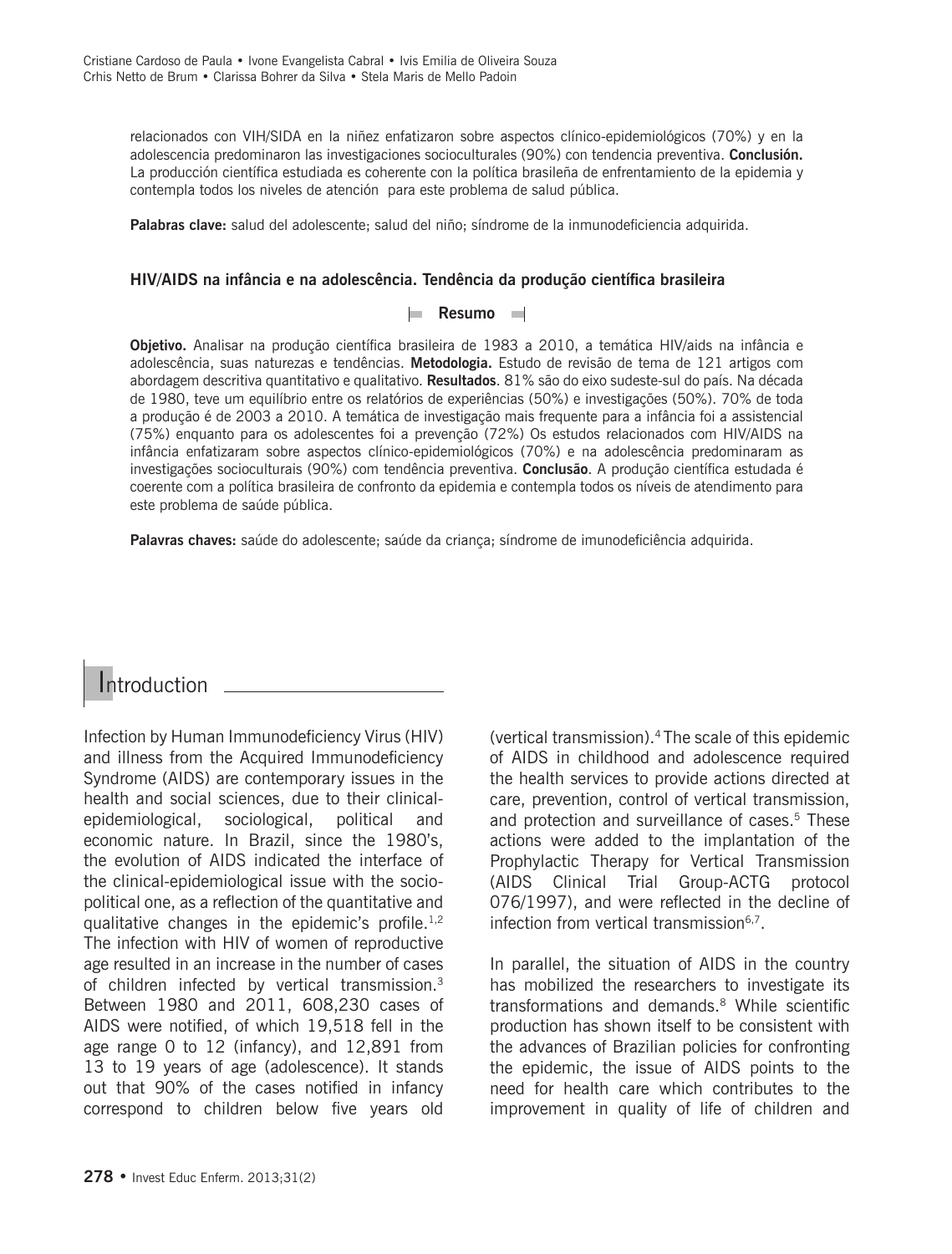relacionados con VIH/SIDA en la niñez enfatizaron sobre aspectos clínico-epidemiológicos (70%) y en la adolescencia predominaron las investigaciones socioculturales (90%) con tendencia preventiva. **Conclusión.**  La producción científica estudiada es coherente con la política brasileña de enfrentamiento de la epidemia y contempla todos los niveles de atención para este problema de salud pública.

**Palabras clave:** salud del adolescente; salud del niño; síndrome de la inmunodeficiencia adquirida.

### **HIV/AIDS na infância e na adolescência. Tendência da produção científica brasileira**

### **Resumo**

**Objetivo.** Analisar na produção científica brasileira de 1983 a 2010, a temática HIV/aids na infância e adolescência, suas naturezas e tendências. **Metodologia.** Estudo de revisão de tema de 121 artigos com abordagem descritiva quantitativo e qualitativo. **Resultados**. 81% são do eixo sudeste-sul do país. Na década de 1980, teve um equilíbrio entre os relatórios de experiências (50%) e investigações (50%). 70% de toda a produção é de 2003 a 2010. A temática de investigação mais frequente para a infância foi a assistencial (75%) enquanto para os adolescentes foi a prevenção (72%) Os estudos relacionados com HIV/AIDS na infância enfatizaram sobre aspectos clínico-epidemiológicos (70%) e na adolescência predominaram as investigações socioculturais (90%) com tendência preventiva. **Conclusão**. A produção científica estudada é coerente com a política brasileira de confronto da epidemia e contempla todos os níveis de atendimento para este problema de saúde pública.

**Palavras chaves:** saúde do adolescente; saúde da criança; síndrome de imunodeficiência adquirida.

### Introduction \_\_\_\_\_\_\_\_\_\_

Infection by Human Immunodeficiency Virus (HIV) and illness from the Acquired Immunodeficiency Syndrome (AIDS) are contemporary issues in the health and social sciences, due to their clinicalepidemiological, sociological, political and economic nature. In Brazil, since the 1980's, the evolution of AIDS indicated the interface of the clinical-epidemiological issue with the sociopolitical one, as a reflection of the quantitative and qualitative changes in the epidemic's profile.<sup>1,2</sup> The infection with HIV of women of reproductive age resulted in an increase in the number of cases of children infected by vertical transmission.3 Between 1980 and 2011, 608,230 cases of AIDS were notified, of which 19,518 fell in the age range 0 to 12 (infancy), and 12,891 from 13 to 19 years of age (adolescence). It stands out that 90% of the cases notified in infancy correspond to children below five years old

(vertical transmission).4 The scale of this epidemic of AIDS in childhood and adolescence required the health services to provide actions directed at care, prevention, control of vertical transmission, and protection and surveillance of cases.<sup>5</sup> These actions were added to the implantation of the Prophylactic Therapy for Vertical Transmission (AIDS Clinical Trial Group-ACTG protocol 076/1997), and were reflected in the decline of infection from vertical transmission<sup>6,7</sup>.

In parallel, the situation of AIDS in the country has mobilized the researchers to investigate its transformations and demands.<sup>8</sup> While scientific production has shown itself to be consistent with the advances of Brazilian policies for confronting the epidemic, the issue of AIDS points to the need for health care which contributes to the improvement in quality of life of children and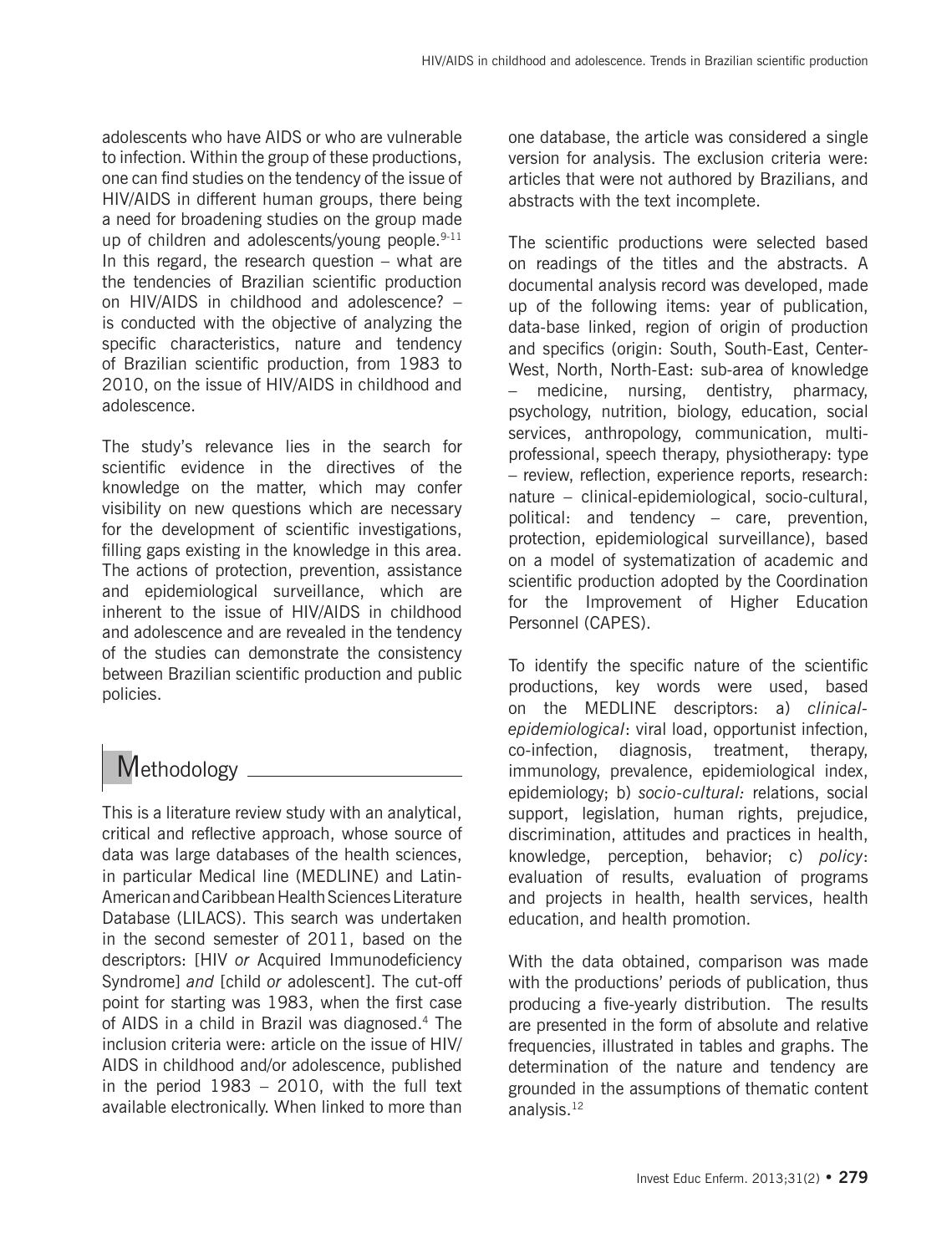adolescents who have AIDS or who are vulnerable to infection. Within the group of these productions, one can find studies on the tendency of the issue of HIV/AIDS in different human groups, there being a need for broadening studies on the group made up of children and adolescents/young people.<sup>9-11</sup> In this regard, the research question – what are the tendencies of Brazilian scientific production on HIV/AIDS in childhood and adolescence? – is conducted with the objective of analyzing the specific characteristics, nature and tendency of Brazilian scientific production, from 1983 to 2010, on the issue of HIV/AIDS in childhood and adolescence.

The study's relevance lies in the search for scientific evidence in the directives of the knowledge on the matter, which may confer visibility on new questions which are necessary for the development of scientific investigations, filling gaps existing in the knowledge in this area. The actions of protection, prevention, assistance and epidemiological surveillance, which are inherent to the issue of HIV/AIDS in childhood and adolescence and are revealed in the tendency of the studies can demonstrate the consistency between Brazilian scientific production and public policies.

## Methodology \_\_\_\_\_\_\_

This is a literature review study with an analytical, critical and reflective approach, whose source of data was large databases of the health sciences, in particular Medical line (MEDLINE) and Latin-American and Caribbean Health Sciences Literature Database (LILACS). This search was undertaken in the second semester of 2011, based on the descriptors: [HIV *or* Acquired Immunodeficiency Syndrome] *and* [child *or* adolescent]. The cut-off point for starting was 1983, when the first case of AIDS in a child in Brazil was diagnosed.4 The inclusion criteria were: article on the issue of HIV/ AIDS in childhood and/or adolescence, published in the period 1983 – 2010, with the full text available electronically. When linked to more than one database, the article was considered a single version for analysis. The exclusion criteria were: articles that were not authored by Brazilians, and abstracts with the text incomplete.

The scientific productions were selected based on readings of the titles and the abstracts. A documental analysis record was developed, made up of the following items: year of publication, data-base linked, region of origin of production and specifics (origin: South, South-East, Center-West, North, North-East: sub-area of knowledge medicine, nursing, dentistry, pharmacy, psychology, nutrition, biology, education, social services, anthropology, communication, multiprofessional, speech therapy, physiotherapy: type – review, reflection, experience reports, research: nature – clinical-epidemiological, socio-cultural, political: and tendency – care, prevention, protection, epidemiological surveillance), based on a model of systematization of academic and scientific production adopted by the Coordination for the Improvement of Higher Education Personnel (CAPES).

To identify the specific nature of the scientific productions, key words were used, based on the MEDLINE descriptors: a) *clinicalepidemiological*: viral load, opportunist infection, co-infection, diagnosis, treatment, therapy, immunology, prevalence, epidemiological index, epidemiology; b) *socio-cultural:* relations, social support, legislation, human rights, prejudice, discrimination, attitudes and practices in health, knowledge, perception, behavior; c) *policy*: evaluation of results, evaluation of programs and projects in health, health services, health education, and health promotion.

With the data obtained, comparison was made with the productions' periods of publication, thus producing a five-yearly distribution. The results are presented in the form of absolute and relative frequencies, illustrated in tables and graphs. The determination of the nature and tendency are grounded in the assumptions of thematic content analysis.<sup>12</sup>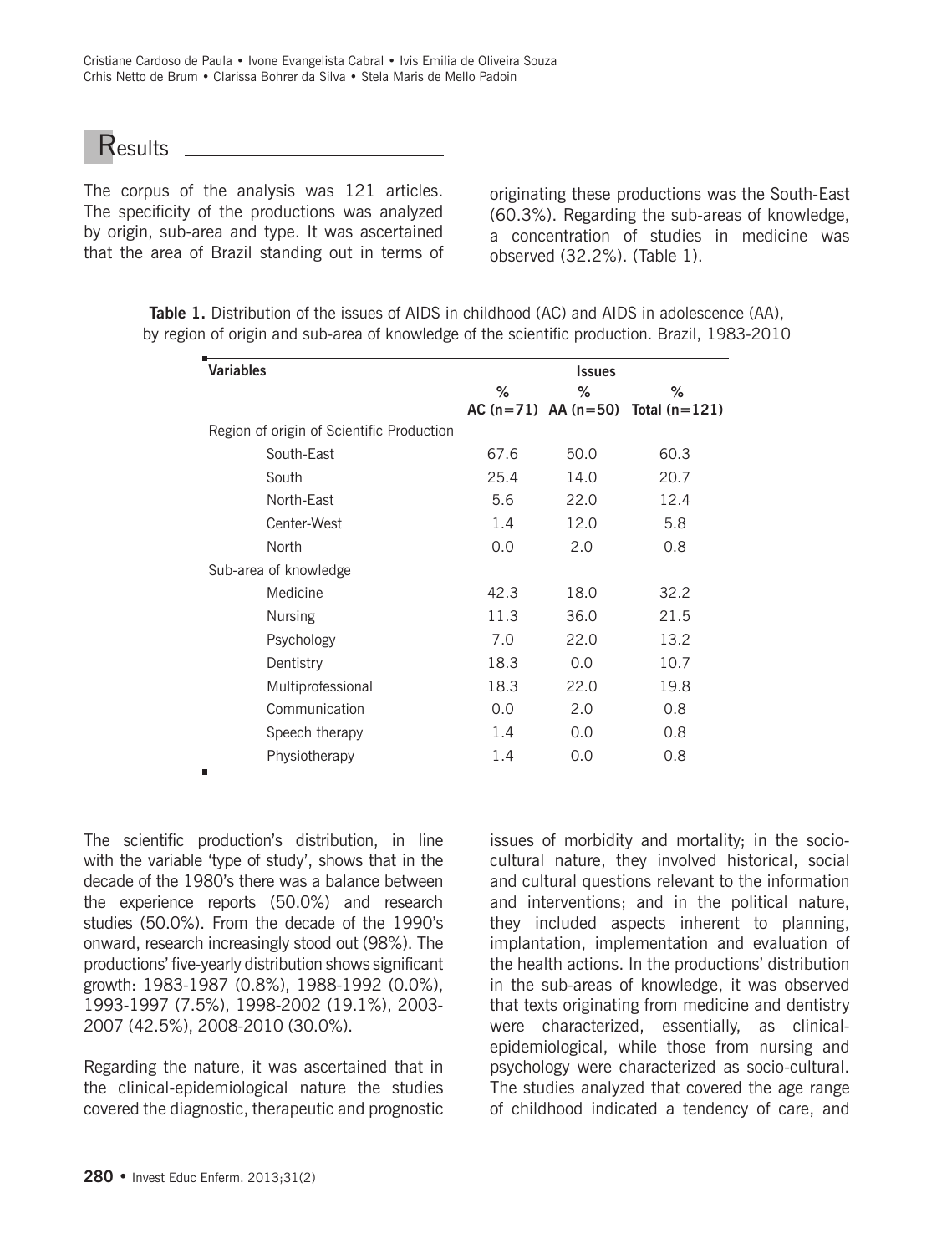**Results** 

The corpus of the analysis was 121 articles. The specificity of the productions was analyzed by origin, sub-area and type. It was ascertained that the area of Brazil standing out in terms of

originating these productions was the South-East (60.3%). Regarding the sub-areas of knowledge, a concentration of studies in medicine was observed (32.2%). (Table 1).

| <b>Variables</b>                          | <b>Issues</b> |      |                                         |  |  |  |
|-------------------------------------------|---------------|------|-----------------------------------------|--|--|--|
|                                           | $\%$          | ℅    | ℅                                       |  |  |  |
|                                           |               |      | AC $(n=71)$ AA $(n=50)$ Total $(n=121)$ |  |  |  |
| Region of origin of Scientific Production |               |      |                                         |  |  |  |
| South-East                                | 67.6          | 50.0 | 60.3                                    |  |  |  |
| South                                     | 25.4          | 14.0 | 20.7                                    |  |  |  |
| North-East                                | 5.6           | 22.0 | 12.4                                    |  |  |  |
| Center-West                               | 1.4           | 12.0 | 5.8                                     |  |  |  |
| North                                     | 0.0           | 2.0  | 0.8                                     |  |  |  |
| Sub-area of knowledge                     |               |      |                                         |  |  |  |
| Medicine                                  | 42.3          | 18.0 | 32.2                                    |  |  |  |
| <b>Nursing</b>                            | 11.3          | 36.0 | 21.5                                    |  |  |  |
| Psychology                                | 7.0           | 22.0 | 13.2                                    |  |  |  |
| Dentistry                                 | 18.3          | 0.0  | 10.7                                    |  |  |  |
| Multiprofessional                         | 18.3          | 22.0 | 19.8                                    |  |  |  |
| Communication                             | 0.0           | 2.0  | 0.8                                     |  |  |  |
| Speech therapy                            | 1.4           | 0.0  | 0.8                                     |  |  |  |
| Physiotherapy                             | 1.4           | 0.0  | 0.8                                     |  |  |  |
|                                           |               |      |                                         |  |  |  |

**Table 1.** Distribution of the issues of AIDS in childhood (AC) and AIDS in adolescence (AA), by region of origin and sub-area of knowledge of the scientific production. Brazil, 1983-2010

The scientific production's distribution, in line with the variable 'type of study', shows that in the decade of the 1980's there was a balance between the experience reports (50.0%) and research studies (50.0%). From the decade of the 1990's onward, research increasingly stood out (98%). The productions' five-yearly distribution shows significant growth: 1983-1987 (0.8%), 1988-1992 (0.0%), 1993-1997 (7.5%), 1998-2002 (19.1%), 2003- 2007 (42.5%), 2008-2010 (30.0%).

Regarding the nature, it was ascertained that in the clinical-epidemiological nature the studies covered the diagnostic, therapeutic and prognostic issues of morbidity and mortality; in the sociocultural nature, they involved historical, social and cultural questions relevant to the information and interventions; and in the political nature, they included aspects inherent to planning, implantation, implementation and evaluation of the health actions. In the productions' distribution in the sub-areas of knowledge, it was observed that texts originating from medicine and dentistry were characterized, essentially, as clinicalepidemiological, while those from nursing and psychology were characterized as socio-cultural. The studies analyzed that covered the age range of childhood indicated a tendency of care, and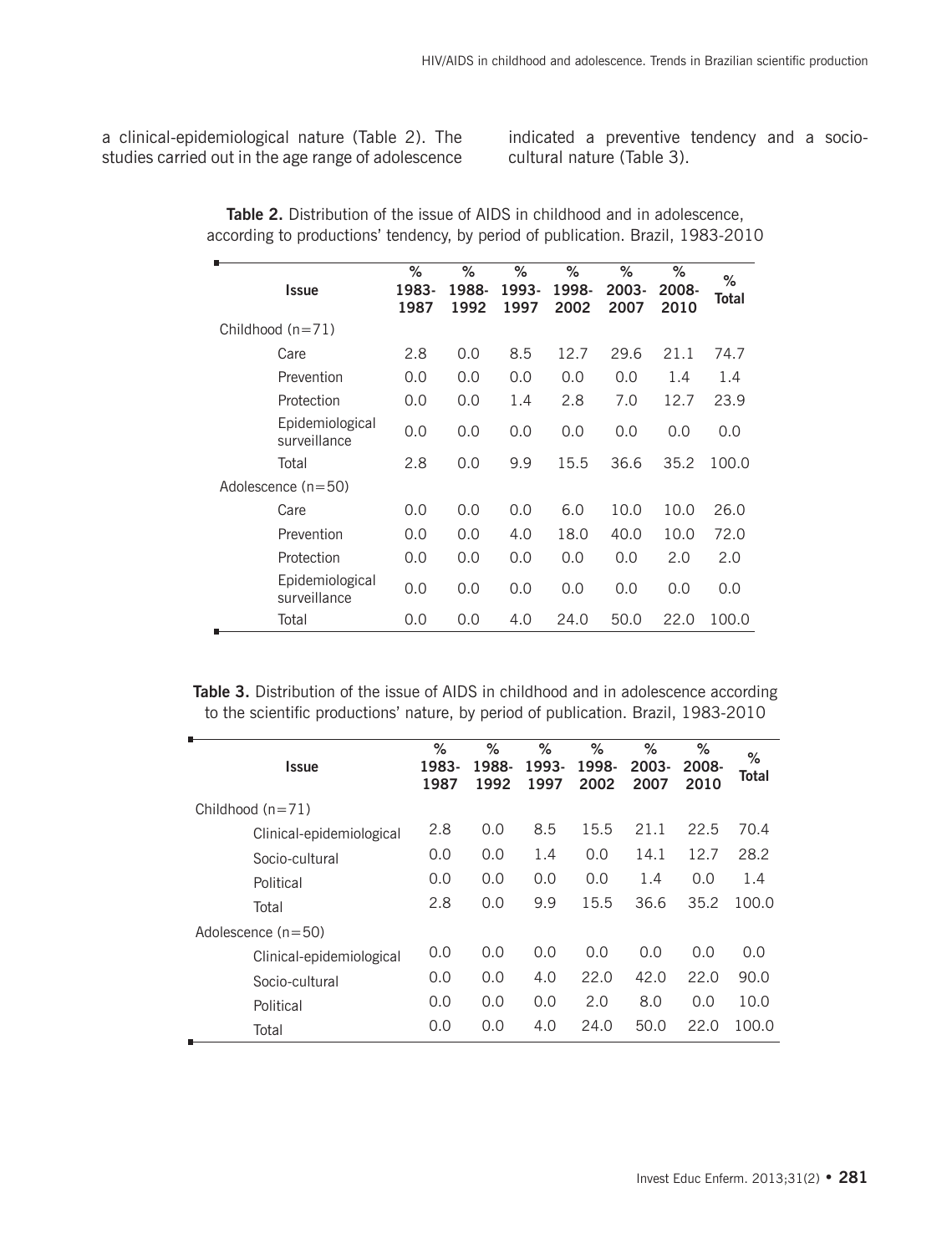a clinical-epidemiological nature (Table 2). The studies carried out in the age range of adolescence

indicated a preventive tendency and a sociocultural nature (Table 3).

| <b>Issue</b>                    | ℅<br>1983-<br>1987 | ℅<br>1988-<br>1992 | ℅<br>1993-<br>1997 | ℅<br>1998-<br>2002 | ℅<br>2003-<br>2007 | ℅<br>2008-<br>2010 | ℅<br><b>Total</b> |
|---------------------------------|--------------------|--------------------|--------------------|--------------------|--------------------|--------------------|-------------------|
| Childhood $(n=71)$              |                    |                    |                    |                    |                    |                    |                   |
| Care                            | 2.8                | 0.0                | 8.5                | 12.7               | 29.6               | 21.1               | 74.7              |
| Prevention                      | 0.0                | 0.0                | 0.0                | 0.0                | 0.0                | 1.4                | 1.4               |
| Protection                      | 0.0                | 0.0                | 1.4                | 2.8                | 7.0                | 12.7               | 23.9              |
| Epidemiological<br>surveillance | 0.0                | 0.0                | 0.0                | 0.0                | 0.0                | 0.0                | 0.0               |
| Total                           | 2.8                | 0.0                | 9.9                | 15.5               | 36.6               | 35.2               | 100.0             |
| Adolescence $(n=50)$            |                    |                    |                    |                    |                    |                    |                   |
| Care                            | 0.0                | 0.0                | 0.0                | 6.0                | 10.0               | 10.0               | 26.0              |
| Prevention                      | 0.0                | 0.0                | 4.0                | 18.0               | 40.0               | 10.0               | 72.0              |
| Protection                      | 0.0                | 0.0                | 0.0                | 0.0                | 0.0                | 2.0                | 2.0               |
| Epidemiological<br>surveillance | 0.0                | 0.0                | 0.0                | 0.0                | 0.0                | 0.0                | 0.0               |
| Total                           | 0.0                | 0.0                | 4.0                | 24.0               | 50.0               | 22.0               | 100.0             |

**Table 2.** Distribution of the issue of AIDS in childhood and in adolescence, according to productions' tendency, by period of publication. Brazil, 1983-2010

Table 3. Distribution of the issue of AIDS in childhood and in adolescence according to the scientific productions' nature, by period of publication. Brazil, 1983-2010

| <b>Issue</b>             | $\%$<br>1983-<br>1987 | ℅<br>1988-<br>1992 | %<br>1993-<br>1997 | $\%$<br>1998-<br>2002 | $\%$<br>2003-<br>2007 | ℅<br>2008-<br>2010 | %<br>Total |
|--------------------------|-----------------------|--------------------|--------------------|-----------------------|-----------------------|--------------------|------------|
| Childhood $(n=71)$       |                       |                    |                    |                       |                       |                    |            |
| Clinical-epidemiological | 2.8                   | 0.0                | 8.5                | 15.5                  | 21.1                  | 22.5               | 70.4       |
| Socio-cultural           | 0.0                   | 0.0                | 1.4                | 0.0                   | 14.1                  | 12.7               | 28.2       |
| Political                | 0.0                   | 0.0                | 0.0                | 0.0                   | 1.4                   | 0.0                | 1.4        |
| Total                    | 2.8                   | 0.0                | 9.9                | 15.5                  | 36.6                  | 35.2               | 100.0      |
| Adolescence $(n=50)$     |                       |                    |                    |                       |                       |                    |            |
| Clinical-epidemiological | 0.0                   | 0.0                | 0.0                | 0.0                   | 0.0                   | 0.0                | 0.0        |
| Socio-cultural           | 0.0                   | 0.0                | 4.0                | 22.0                  | 42.0                  | 22.0               | 90.0       |
| Political                | 0,0                   | 0.0                | 0.0                | 2.0                   | 8.0                   | 0.0                | 10.0       |
| Total                    | 0,0                   | 0.0                | 4.0                | 24.0                  | 50.0                  | 22.0               | 100.0      |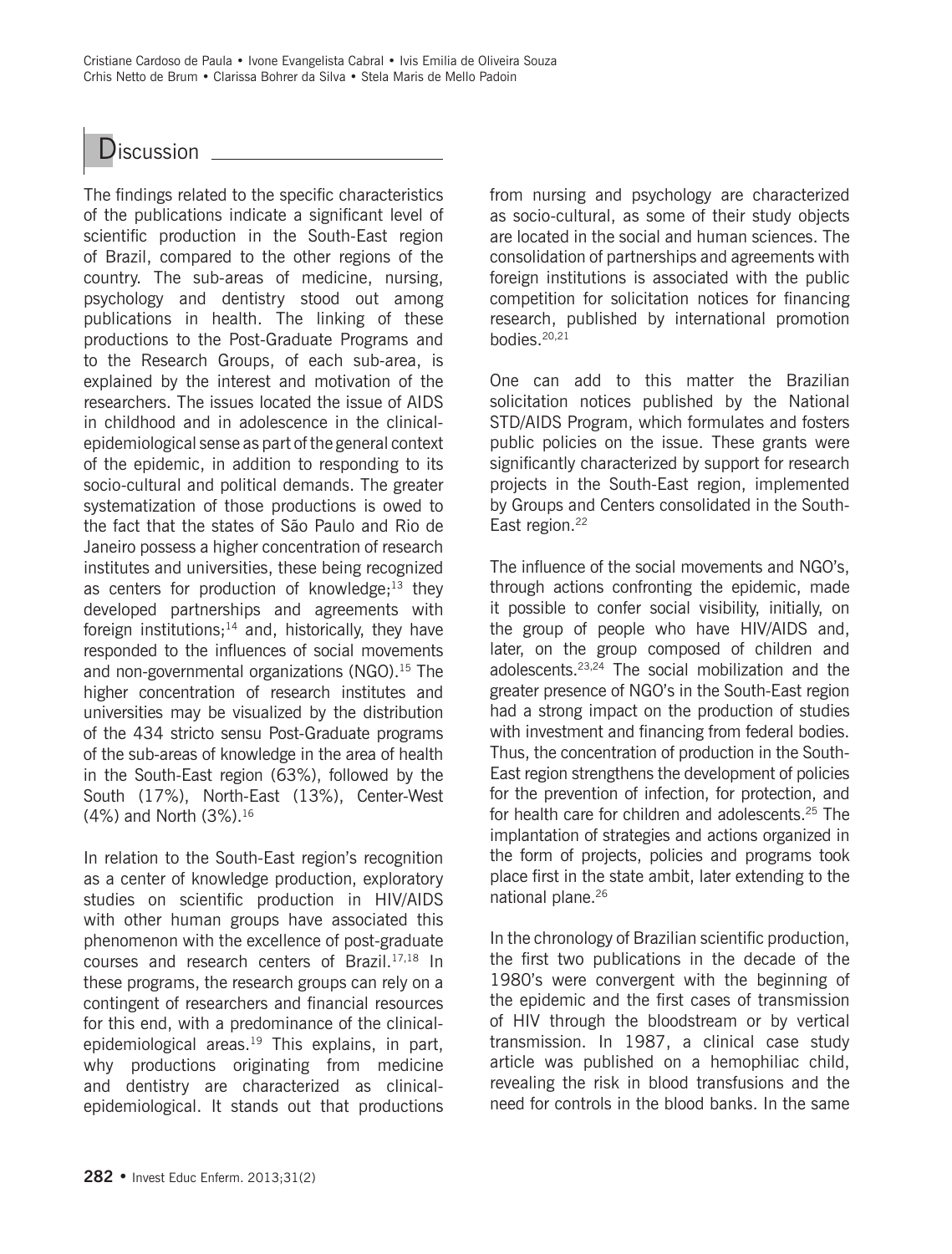Cristiane Cardoso de Paula • Ivone Evangelista Cabral • Ivis Emilia de Oliveira Souza Crhis Netto de Brum • Clarissa Bohrer da Silva • Stela Maris de Mello Padoin



The findings related to the specific characteristics of the publications indicate a significant level of scientific production in the South-East region of Brazil, compared to the other regions of the country. The sub-areas of medicine, nursing, psychology and dentistry stood out among publications in health. The linking of these productions to the Post-Graduate Programs and to the Research Groups, of each sub-area, is explained by the interest and motivation of the researchers. The issues located the issue of AIDS in childhood and in adolescence in the clinicalepidemiological sense as part of the general context of the epidemic, in addition to responding to its socio-cultural and political demands. The greater systematization of those productions is owed to the fact that the states of São Paulo and Rio de Janeiro possess a higher concentration of research institutes and universities, these being recognized as centers for production of knowledge; $^{13}$  they developed partnerships and agreements with foreign institutions;<sup>14</sup> and, historically, they have responded to the influences of social movements and non-governmental organizations (NGO).<sup>15</sup> The higher concentration of research institutes and universities may be visualized by the distribution of the 434 stricto sensu Post-Graduate programs of the sub-areas of knowledge in the area of health in the South-East region (63%), followed by the South (17%), North-East (13%), Center-West (4%) and North (3%).16

In relation to the South-East region's recognition as a center of knowledge production, exploratory studies on scientific production in HIV/AIDS with other human groups have associated this phenomenon with the excellence of post-graduate courses and research centers of Brazil.17,18 In these programs, the research groups can rely on a contingent of researchers and financial resources for this end, with a predominance of the clinicalepidemiological areas.<sup>19</sup> This explains, in part, why productions originating from medicine and dentistry are characterized as clinicalepidemiological. It stands out that productions from nursing and psychology are characterized as socio-cultural, as some of their study objects are located in the social and human sciences. The consolidation of partnerships and agreements with foreign institutions is associated with the public competition for solicitation notices for financing research, published by international promotion bodies $20,21$ 

One can add to this matter the Brazilian solicitation notices published by the National STD/AIDS Program, which formulates and fosters public policies on the issue. These grants were significantly characterized by support for research projects in the South-East region, implemented by Groups and Centers consolidated in the South-East region.<sup>22</sup>

The influence of the social movements and NGO's, through actions confronting the epidemic, made it possible to confer social visibility, initially, on the group of people who have HIV/AIDS and, later, on the group composed of children and adolescents.23,24 The social mobilization and the greater presence of NGO's in the South-East region had a strong impact on the production of studies with investment and financing from federal bodies. Thus, the concentration of production in the South-East region strengthens the development of policies for the prevention of infection, for protection, and for health care for children and adolescents.25 The implantation of strategies and actions organized in the form of projects, policies and programs took place first in the state ambit, later extending to the national plane.26

In the chronology of Brazilian scientific production, the first two publications in the decade of the 1980's were convergent with the beginning of the epidemic and the first cases of transmission of HIV through the bloodstream or by vertical transmission. In 1987, a clinical case study article was published on a hemophiliac child, revealing the risk in blood transfusions and the need for controls in the blood banks. In the same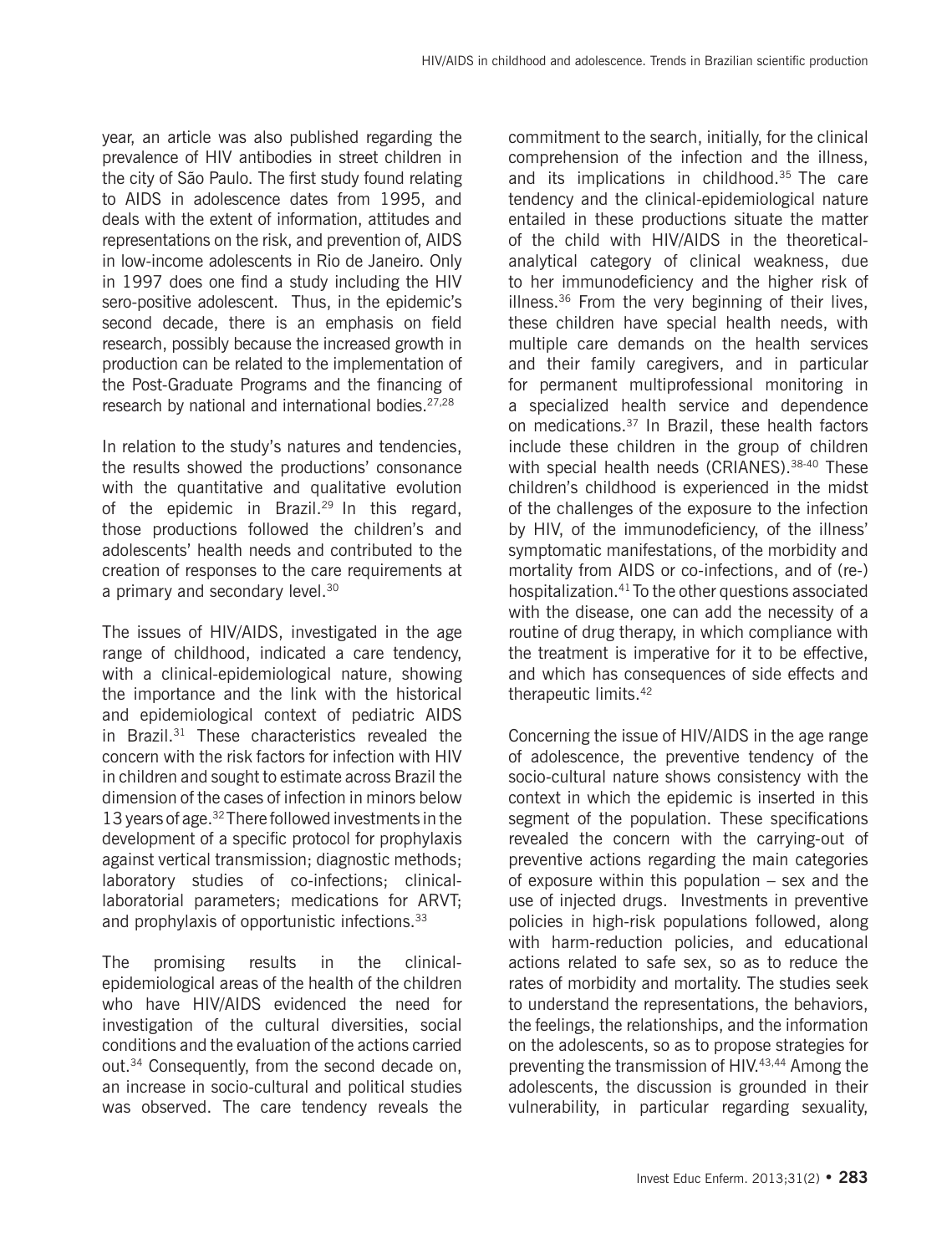year, an article was also published regarding the prevalence of HIV antibodies in street children in the city of São Paulo. The first study found relating to AIDS in adolescence dates from 1995, and deals with the extent of information, attitudes and representations on the risk, and prevention of, AIDS in low-income adolescents in Rio de Janeiro. Only in 1997 does one find a study including the HIV sero-positive adolescent. Thus, in the epidemic's second decade, there is an emphasis on field research, possibly because the increased growth in production can be related to the implementation of the Post-Graduate Programs and the financing of research by national and international bodies.<sup>27,28</sup>

In relation to the study's natures and tendencies, the results showed the productions' consonance with the quantitative and qualitative evolution of the epidemic in Brazil.<sup>29</sup> In this regard, those productions followed the children's and adolescents' health needs and contributed to the creation of responses to the care requirements at a primary and secondary level.<sup>30</sup>

The issues of HIV/AIDS, investigated in the age range of childhood, indicated a care tendency, with a clinical-epidemiological nature, showing the importance and the link with the historical and epidemiological context of pediatric AIDS in Brazil.31 These characteristics revealed the concern with the risk factors for infection with HIV in children and sought to estimate across Brazil the dimension of the cases of infection in minors below 13 years of age.32 There followed investments in the development of a specific protocol for prophylaxis against vertical transmission; diagnostic methods; laboratory studies of co-infections; clinicallaboratorial parameters; medications for ARVT; and prophylaxis of opportunistic infections.<sup>33</sup>

The promising results in the clinicalepidemiological areas of the health of the children who have HIV/AIDS evidenced the need for investigation of the cultural diversities, social conditions and the evaluation of the actions carried out.34 Consequently, from the second decade on, an increase in socio-cultural and political studies was observed. The care tendency reveals the

commitment to the search, initially, for the clinical comprehension of the infection and the illness, and its implications in childhood.<sup>35</sup> The care tendency and the clinical-epidemiological nature entailed in these productions situate the matter of the child with HIV/AIDS in the theoreticalanalytical category of clinical weakness, due to her immunodeficiency and the higher risk of illness. $36$  From the very beginning of their lives, these children have special health needs, with multiple care demands on the health services and their family caregivers, and in particular for permanent multiprofessional monitoring in a specialized health service and dependence on medications.37 In Brazil, these health factors include these children in the group of children with special health needs (CRIANES).<sup>38-40</sup> These children's childhood is experienced in the midst of the challenges of the exposure to the infection by HIV, of the immunodeficiency, of the illness' symptomatic manifestations, of the morbidity and mortality from AIDS or co-infections, and of (re-) hospitalization.41 To the other questions associated with the disease, one can add the necessity of a routine of drug therapy, in which compliance with the treatment is imperative for it to be effective, and which has consequences of side effects and therapeutic limits.42

Concerning the issue of HIV/AIDS in the age range of adolescence, the preventive tendency of the socio-cultural nature shows consistency with the context in which the epidemic is inserted in this segment of the population. These specifications revealed the concern with the carrying-out of preventive actions regarding the main categories of exposure within this population – sex and the use of injected drugs. Investments in preventive policies in high-risk populations followed, along with harm-reduction policies, and educational actions related to safe sex, so as to reduce the rates of morbidity and mortality. The studies seek to understand the representations, the behaviors, the feelings, the relationships, and the information on the adolescents, so as to propose strategies for preventing the transmission of HIV.43,44 Among the adolescents, the discussion is grounded in their vulnerability, in particular regarding sexuality,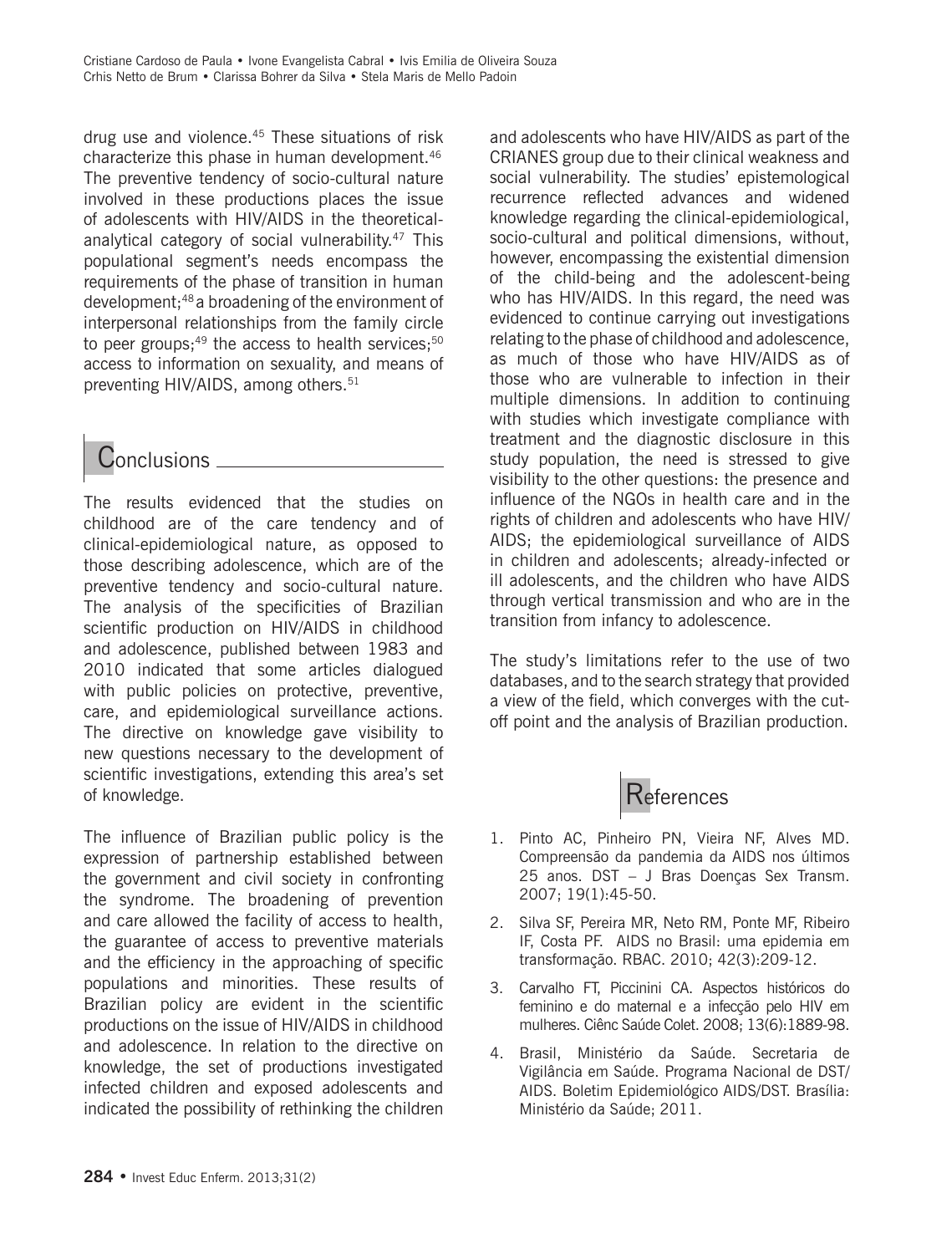drug use and violence.<sup>45</sup> These situations of risk characterize this phase in human development.46 The preventive tendency of socio-cultural nature involved in these productions places the issue of adolescents with HIV/AIDS in the theoreticalanalytical category of social vulnerability.<sup>47</sup> This populational segment's needs encompass the requirements of the phase of transition in human development;48 a broadening of the environment of interpersonal relationships from the family circle to peer groups;<sup>49</sup> the access to health services; $50$ access to information on sexuality, and means of preventing HIV/AIDS, among others.<sup>51</sup>

## Conclusions .

The results evidenced that the studies on childhood are of the care tendency and of clinical-epidemiological nature, as opposed to those describing adolescence, which are of the preventive tendency and socio-cultural nature. The analysis of the specificities of Brazilian scientific production on HIV/AIDS in childhood and adolescence, published between 1983 and 2010 indicated that some articles dialogued with public policies on protective, preventive, care, and epidemiological surveillance actions. The directive on knowledge gave visibility to new questions necessary to the development of scientific investigations, extending this area's set of knowledge.

The influence of Brazilian public policy is the expression of partnership established between the government and civil society in confronting the syndrome. The broadening of prevention and care allowed the facility of access to health, the guarantee of access to preventive materials and the efficiency in the approaching of specific populations and minorities. These results of Brazilian policy are evident in the scientific productions on the issue of HIV/AIDS in childhood and adolescence. In relation to the directive on knowledge, the set of productions investigated infected children and exposed adolescents and indicated the possibility of rethinking the children and adolescents who have HIV/AIDS as part of the CRIANES group due to their clinical weakness and social vulnerability. The studies' epistemological recurrence reflected advances and widened knowledge regarding the clinical-epidemiological, socio-cultural and political dimensions, without, however, encompassing the existential dimension of the child-being and the adolescent-being who has HIV/AIDS. In this regard, the need was evidenced to continue carrying out investigations relating to the phase of childhood and adolescence, as much of those who have HIV/AIDS as of those who are vulnerable to infection in their multiple dimensions. In addition to continuing with studies which investigate compliance with treatment and the diagnostic disclosure in this study population, the need is stressed to give visibility to the other questions: the presence and influence of the NGOs in health care and in the rights of children and adolescents who have HIV/ AIDS; the epidemiological surveillance of AIDS in children and adolescents; already-infected or ill adolescents, and the children who have AIDS through vertical transmission and who are in the transition from infancy to adolescence.

The study's limitations refer to the use of two databases, and to the search strategy that provided a view of the field, which converges with the cutoff point and the analysis of Brazilian production.



- 1. Pinto AC, Pinheiro PN, Vieira NF, Alves MD. Compreensão da pandemia da AIDS nos últimos 25 anos. DST – J Bras Doenças Sex Transm. 2007; 19(1):45-50.
- 2. Silva SF, Pereira MR, Neto RM, Ponte MF, Ribeiro IF, Costa PF. AIDS no Brasil: uma epidemia em transformação. RBAC. 2010; 42(3):209-12.
- 3. Carvalho FT, Piccinini CA. Aspectos históricos do feminino e do maternal e a infecção pelo HIV em mulheres. Ciênc Saúde Colet. 2008; 13(6):1889-98.
- 4. Brasil, Ministério da Saúde. Secretaria de Vigilância em Saúde. Programa Nacional de DST/ AIDS. Boletim Epidemiológico AIDS/DST. Brasília: Ministério da Saúde; 2011.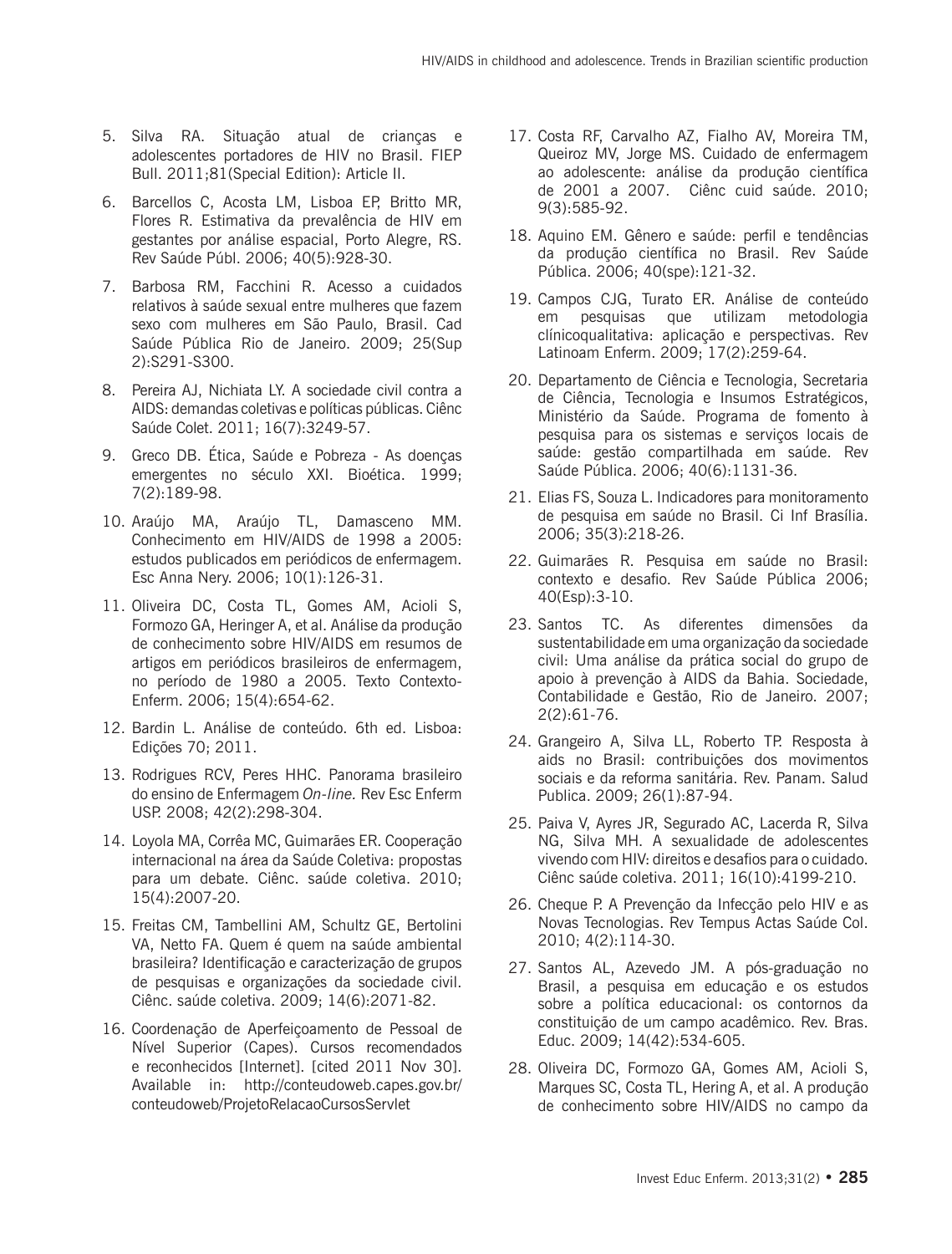- 5. Silva RA. Situação atual de crianças e adolescentes portadores de HIV no Brasil. FIEP Bull. 2011;81(Special Edition): Article II.
- 6. Barcellos C, Acosta LM, Lisboa EP, Britto MR, Flores R. Estimativa da prevalência de HIV em gestantes por análise espacial, Porto Alegre, RS. Rev Saúde Públ. 2006; 40(5):928-30.
- 7. Barbosa RM, Facchini R. Acesso a cuidados relativos à saúde sexual entre mulheres que fazem sexo com mulheres em São Paulo, Brasil. Cad Saúde Pública Rio de Janeiro. 2009; 25(Sup 2):S291-S300.
- 8. Pereira AJ, Nichiata LY. A sociedade civil contra a AIDS: demandas coletivas e políticas públicas. Ciênc Saúde Colet. 2011; 16(7):3249-57.
- 9. Greco DB. Ética, Saúde e Pobreza As doenças emergentes no século XXI. Bioética. 1999; 7(2):189-98.
- 10. Araújo MA, Araújo TL, Damasceno MM. Conhecimento em HIV/AIDS de 1998 a 2005: estudos publicados em periódicos de enfermagem. Esc Anna Nery. 2006; 10(1):126-31.
- 11. Oliveira DC, Costa TL, Gomes AM, Acioli S, Formozo GA, Heringer A, et al. Análise da produção de conhecimento sobre HIV/AIDS em resumos de artigos em periódicos brasileiros de enfermagem, no período de 1980 a 2005. Texto Contexto-Enferm. 2006; 15(4):654-62.
- 12. Bardin L. Análise de conteúdo. 6th ed. Lisboa: Edições 70; 2011.
- 13. Rodrigues RCV, Peres HHC. Panorama brasileiro do ensino de Enfermagem *On-line.* Rev Esc Enferm USP. 2008; 42(2):298-304.
- 14. Loyola MA, Corrêa MC, Guimarães ER. Cooperação internacional na área da Saúde Coletiva: propostas para um debate. Ciênc. saúde coletiva. 2010; 15(4):2007-20.
- 15. Freitas CM, Tambellini AM, Schultz GE, Bertolini VA, Netto FA. Quem é quem na saúde ambiental brasileira? Identificação e caracterização de grupos de pesquisas e organizações da sociedade civil. Ciênc. saúde coletiva. 2009; 14(6):2071-82.
- 16. Coordenação de Aperfeiçoamento de Pessoal de Nível Superior (Capes). Cursos recomendados e reconhecidos [Internet]. [cited 2011 Nov 30]. Available in: http://conteudoweb.capes.gov.br/ conteudoweb/ProjetoRelacaoCursosServlet
- 17. Costa RF, Carvalho AZ, Fialho AV, Moreira TM, Queiroz MV, Jorge MS. Cuidado de enfermagem ao adolescente: análise da produção científica de 2001 a 2007. Ciênc cuid saúde. 2010; 9(3):585-92.
- 18. Aquino EM. Gênero e saúde: perfil e tendências da produção científica no Brasil. Rev Saúde Pública. 2006; 40(spe):121-32.
- 19. Campos CJG, Turato ER. Análise de conteúdo em pesquisas que utilizam metodologia clínicoqualitativa: aplicação e perspectivas. Rev Latinoam Enferm. 2009; 17(2):259-64.
- 20. Departamento de Ciência e Tecnologia, Secretaria de Ciência, Tecnologia e Insumos Estratégicos, Ministério da Saúde. Programa de fomento à pesquisa para os sistemas e serviços locais de saúde: gestão compartilhada em saúde. Rev Saúde Pública. 2006; 40(6):1131-36.
- 21. Elias FS, Souza L. Indicadores para monitoramento de pesquisa em saúde no Brasil. Ci Inf Brasília. 2006; 35(3):218-26.
- 22. Guimarães R. Pesquisa em saúde no Brasil: contexto e desafio. Rev Saúde Pública 2006; 40(Esp):3-10.
- 23. Santos TC. As diferentes dimensões da sustentabilidade em uma organização da sociedade civil: Uma análise da prática social do grupo de apoio à prevenção à AIDS da Bahia. Sociedade, Contabilidade e Gestão, Rio de Janeiro. 2007; 2(2):61-76.
- 24. Grangeiro A, Silva LL, Roberto TP. Resposta à aids no Brasil: contribuições dos movimentos sociais e da reforma sanitária. Rev. Panam. Salud Publica. 2009; 26(1):87-94.
- 25. Paiva V, Ayres JR, Segurado AC, Lacerda R, Silva NG, Silva MH. A sexualidade de adolescentes vivendo com HIV: direitos e desafios para o cuidado. Ciênc saúde coletiva. 2011; 16(10):4199-210.
- 26. Cheque P. A Prevenção da Infecção pelo HIV e as Novas Tecnologias. Rev Tempus Actas Saúde Col. 2010; 4(2):114-30.
- 27. Santos AL, Azevedo JM. A pós-graduação no Brasil, a pesquisa em educação e os estudos sobre a política educacional: os contornos da constituição de um campo acadêmico. Rev. Bras. Educ. 2009; 14(42):534-605.
- 28. Oliveira DC, Formozo GA, Gomes AM, Acioli S, Marques SC, Costa TL, Hering A, et al. A produção de conhecimento sobre HIV/AIDS no campo da